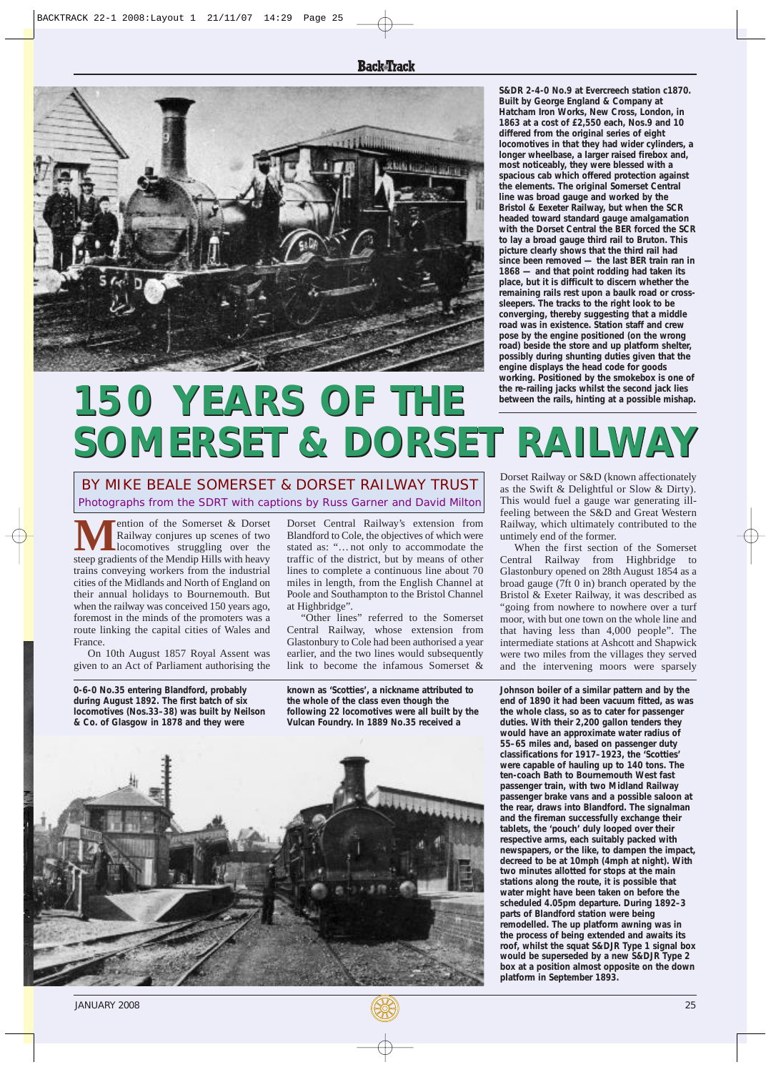

**S&DR 2-4-0 No.9 at Evercreech station c1870. Built by George England & Company at Hatcham Iron Works, New Cross, London, in differed from the original series of eight locomotives in that they had wider cylinders, a longer wheelbase, a larger raised firebox and, most noticeably, they were blessed with a spacious cab which offered protection against the elements. The original Somerset Central line was broad gauge and worked by the Bristol & Eexeter Railway, but when the SCR headed toward standard gauge amalgamation with the Dorset Central the BER forced the SCR to lay a broad gauge third rail to Bruton. This picture clearly shows that the third rail had since been removed — the last BER train ran in 1868 — and that point rodding had taken its place, but it is difficult to discern whether the remaining rails rest upon a baulk road or crosssleepers. The tracks to the right look to be converging, thereby suggesting that a middle road was in existence. Station staff and crew pose by the engine positioned (on the wrong road) beside the store and up platform shelter, possibly during shunting duties given that the engine displays the head code for goods working. Positioned by the smokebox is one of 1863 at a cost of £2,550 each, Nos.9 and 10**

## **the re-railing jacks whilst the second jack lies between the rails, hinting at a possible mishap. 150 YEARS OF THE 150 YEARS THE 150 YEARS OF THE SOMERSET & DORSET RAILWAY SOMERSET & DORSET RAILWAY SOMERSET&DORSET RAILWAY**

Photographs from the SDRT with captions by Russ Garner and David Milton BY MIKE BEALE SOMERSET & DORSET RAILWAY TRUST

**MENTIFY ALC** Property Conset & Dorset Maximum Railway conjures up scenes of two locomotives struggling over the steep gradients of the Mendip Hills with heavy Railway conjures up scenes of two locomotives struggling over the trains conveying workers from the industrial cities of the Midlands and North of England on their annual holidays to Bournemouth. But when the railway was conceived 150 years ago, foremost in the minds of the promoters was a route linking the capital cities of Wales and France.

On 10th August 1857 Royal Assent was given to an Act of Parliament authorising the

**0-6-0 No.35 entering Blandford, probably during August 1892. The first batch of six locomotives (Nos.33–38) was built by Neilson & Co. of Glasgow in 1878 and they were**

Dorset Central Railway's extension from Blandford to Cole, the objectives of which were stated as: "…not only to accommodate the traffic of the district, but by means of other lines to complete a continuous line about 70 miles in length, from the English Channel at Poole and Southampton to the Bristol Channel at Highbridge".

"Other lines" referred to the Somerset Central Railway, whose extension from Glastonbury to Cole had been authorised a year earlier, and the two lines would subsequently link to become the infamous Somerset &

**known as 'Scotties', a nickname attributed to the whole of the class even though the following 22 locomotives were all built by the Vulcan Foundry. In 1889 No.35 received a**



Dorset Railway or S&D (known affectionately as the Swift & Delightful or Slow & Dirty). This would fuel a gauge war generating illfeeling between the S&D and Great Western Railway, which ultimately contributed to the untimely end of the former.

When the first section of the Somerset Central Railway from Highbridge to Glastonbury opened on 28th August 1854 as a Bristol & Exeter Railway, it was described as "going from nowhere to nowhere over a turf moor, with but one town on the whole line and that having less than 4,000 people". The intermediate stations at Ashcott and Shapwick were two miles from the villages they served and the intervening moors were sparsely broad gauge  $(7ft 0 in)$  branch operated by the

**Johnson boiler of a similar pattern and by the end of 1890 it had been vacuum fitted, as was the whole class, so as to cater for passenger duties. With their 2,200 gallon tenders they would have an approximate water radius of 55–65 miles and, based on passenger duty classifications for 1917–1923, the 'Scotties' ten-coach Bath to Bournemouth West fast passenger train, with two Midland Railway passenger brake vans and a possible saloon at the rear, draws into Blandford. The signalman and the fireman successfully exchange their tablets, the 'pouch' duly looped over their respective arms, each suitably packed with newspapers, or the like, to dampen the impact, decreed to be at 10mph (4mph at night). With two minutes allotted for stops at the main stations along the route, it is possible that water might have been taken on before the scheduled 4.05pm departure. During 1892–3 parts of Blandford station were being remodelled. The up platform awning was in the process of being extended and awaits its roof, whilst the squat S&DJR Type 1 signal box would be superseded by a new S&DJR Type 2 box at a position almost opposite on the down platform in September 1893. were capable of hauling up to 140 tons. The**

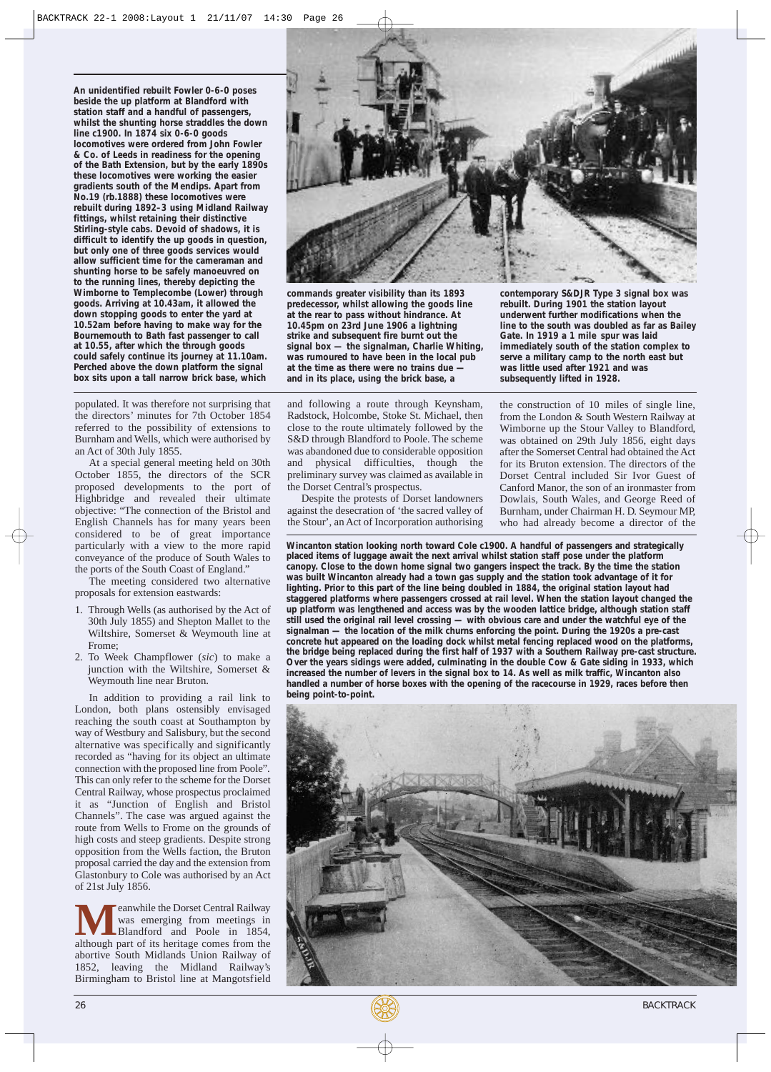**An unidentified rebuilt Fowler 0-6-0 poses beside the up platform at Blandford with station staff and a handful of passengers, whilst the shunting horse straddles the down line c1900. In 1874 six 0-6-0 goods locomotives were ordered from John Fowler & Co. of Leeds in readiness for the opening of the Bath Extension, but by the early 1890s these locomotives were working the easier gradients south of the Mendips. Apart from No.19 (rb.1888) these locomotives were rebuilt during 1892–3 using Midland Railway fittings, whilst retaining their distinctive Stirling-style cabs. Devoid of shadows, it is difficult to identify the up goods in question, but only one of three goods services would allow sufficient time for the cameraman and shunting horse to be safely manoeuvred on to the running lines, thereby depicting the Wimborne to Templecombe (Lower) through down stopping goods to enter the yard at 10.52am before having to make way for the Bournemouth to Bath fast passenger to call at 10.55, after which the through goods could safely continue its journey at 11.10am. Perched above the down platform the signal box sits upon a tall narrow brick base, which goods. Arriving at 10.43am, it allowed the**

populated. It was therefore not surprising that the directors' minutes for 7th October 1854 referred to the possibility of extensions to Burnham and Wells, which were authorised by an Act of 30th July 1855.

At a special general meeting held on 30th October 1855, the directors of the SCR proposed developments to the port of Highbridge and revealed their ultimate objective: "The connection of the Bristol and English Channels has for many years been considered to be of great importance particularly with a view to the more rapid conveyance of the produce of South Wales to the ports of the South Coast of England."

The meeting considered two alternative proposals for extension eastwards:

- 1. Through Wells (as authorised by the Act of 30th July 1855) and Shepton Mallet to the Wiltshire, Somerset & Weymouth line at Frome;
- 2. To Week Champflower (*sic*) to make a junction with the Wiltshire, Somerset & Weymouth line near Bruton.

In addition to providing a rail link to London, both plans ostensibly envisaged reaching the south coast at Southampton by way of Westbury and Salisbury, but the second alternative was specifically and significantly recorded as "having for its object an ultimate connection with the proposed line from Poole". This can only refer to the scheme for the Dorset Central Railway, whose prospectus proclaimed it as "Junction of English and Bristol Channels". The case was argued against the route from Wells to Frome on the grounds of high costs and steep gradients. Despite strong opposition from the Wells faction, the Bruton proposal carried the day and the extension from Glastonbury to Cole was authorised by an Act of 21st July 1856.

**M**eanwhile the Dorset Central Railway<br>Blandford and Poole in 1854,<br>although part of its heritage comes from the was emerging from meetings in although part of its heritage comes from the abortive South Midlands Union Railway of 1852, leaving the Midland Railway's Birmingham to Bristol line at Mangotsfield



**commands greater visibility than its 1893 predecessor, whilst allowing the goods line signal box — the signalman, Charlie Whiting, immediately south of the station complex to** was rumoured to have been in the local pub serve a military camp to the north at the time as there were no trains due — was little used after 1921 and was **10.45pm on 23rd June 1906 a lightning line to the south was doubled as far as Bailey** at the rear to pass without hindrance. At strike and subsequent fire burnt out the at the time as there were no trains due — was little used after 1921 and in its place, using the brick base, a subsequently lifted in 1928. and in its place, using the brick base, a

and following a route through Keynsham, Radstock, Holcombe, Stoke St. Michael, then close to the route ultimately followed by the S&D through Blandford to Poole. The scheme was abandoned due to considerable opposition and physical difficulties, though the preliminary survey was claimed as available in the Dorset Central's prospectus.

Despite the protests of Dorset landowners against the desecration of 'the sacred valley of the Stour', an Act of Incorporation authorising **contemporary S&DJR Type 3 signal box was rebuilt. During 1901 the station layout**

from the London & South Western Railway at Wimborne up the Stour Valley to Blandford, was obtained on 29th July 1856, eight days after the Somerset Central had obtained the Act for its Bruton extension. The directors of the Dorset Central included Sir Ivor Guest of Canford Manor, the son of an ironmaster from Dowlais, South Wales, and George Reed of Burnham, under Chairman H. D. Seymour MP, who had already become a director of the the construction of 10 miles of single line,

**Wincanton station looking north toward Cole c1900. A handful of passengers and strategically placed items of luggage await the next arrival whilst station staff pose under the platform canopy. Close to the down home signal two gangers inspect the track. By the time the station was built Wincanton already had a town gas supply and the station took advantage of it for lighting. Prior to this part of the line being doubled in 1884, the original station layout had staggered platforms where passengers crossed at rail level. When the station layout changed the up platform was lengthened and access was by the wooden lattice bridge, although station staff still used the original rail level crossing — with obvious care and under the watchful eye of the signalman — the location of the milk churns enforcing the point. During the 1920s a pre-cast concrete hut appeared on the loading dock whilst metal fencing replaced wood on the platforms, the bridge being replaced during the first half of 1937 with a Southern Railway pre-cast structure. Over the years sidings were added, culminating in the double Cow & Gate siding in 1933, which increased the number of levers in the signal box to 14. As well as milk traffic, Wincanton also handled a number of horse boxes with the opening of the racecourse in 1929, races before then being point-to-point.**



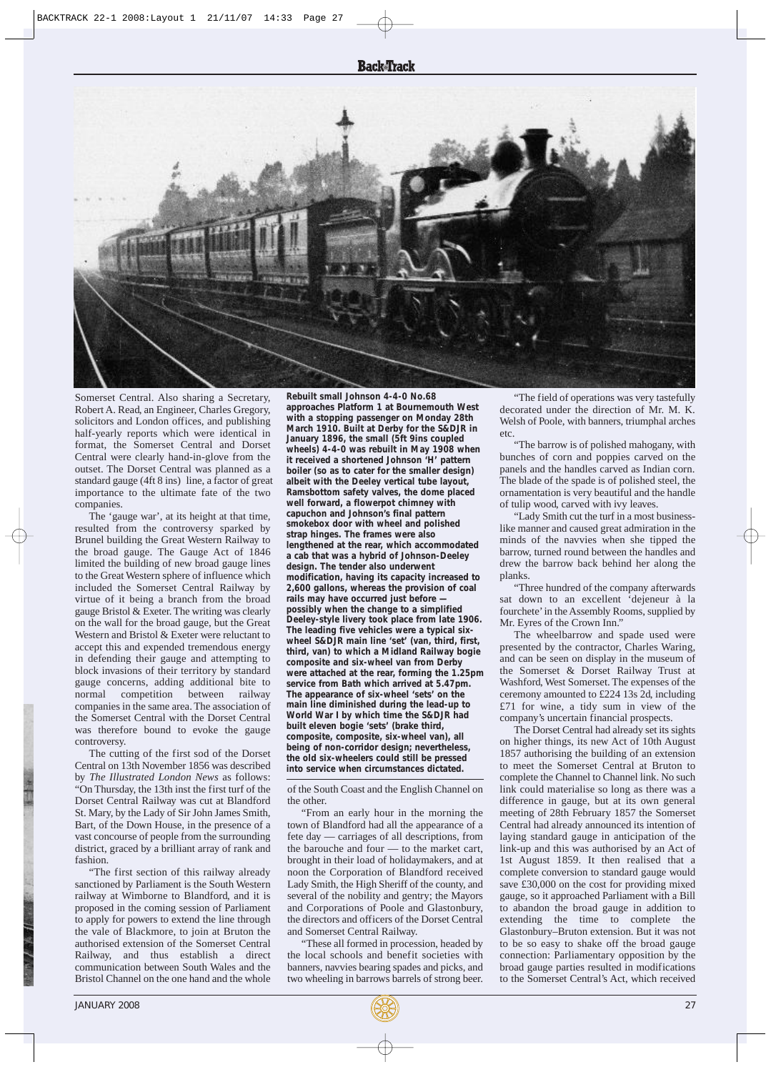## **Back**Track



Somerset Central. Also sharing a Secretary, Robert A. Read, an Engineer, Charles Gregory, solicitors and London offices, and publishing half-yearly reports which were identical in format, the Somerset Central and Dorset Central were clearly hand-in-glove from the outset. The Dorset Central was planned as a importance to the ultimate fate of the two companies. standard gauge (4ft 8 ins) line, a factor of great

The 'gauge war', at its height at that time, resulted from the controversy sparked by Brunel building the Great Western Railway to the broad gauge. The Gauge Act of 1846 limited the building of new broad gauge lines to the Great Western sphere of influence which included the Somerset Central Railway by virtue of it being a branch from the broad gauge Bristol & Exeter. The writing was clearly on the wall for the broad gauge, but the Great Western and Bristol & Exeter were reluctant to accept this and expended tremendous energy in defending their gauge and attempting to block invasions of their territory by standard gauge concerns, adding additional bite to normal competition between companies in the same area. The association of the Somerset Central with the Dorset Central was therefore bound to evoke the gauge controversy.

The cutting of the first sod of the Dorset Central on 13th November 1856 was described by *The Illustrated London News* as follows: "On Thursday, the 13th inst the first turf of the Dorset Central Railway was cut at Blandford St. Mary, by the Lady of Sir John James Smith, Bart, of the Down House, in the presence of a vast concourse of people from the surrounding district, graced by a brilliant array of rank and fashion.

"The first section of this railway already sanctioned by Parliament is the South Western railway at Wimborne to Blandford, and it is proposed in the coming session of Parliament to apply for powers to extend the line through the vale of Blackmore, to join at Bruton the authorised extension of the Somerset Central Railway, and thus establish a direct communication between South Wales and the Bristol Channel on the one hand and the whole

**Rebuilt small Johnson 4-4-0 No.68 approaches Platform 1 at Bournemouth West with a stopping passenger on Monday 28th March 1910. Built at Derby for the S&DJR in January 1896, the small (5ft 9ins coupled wheels) 4-4-0 was rebuilt in May 1908 when it received a shortened Johnson 'H' pattern boiler (so as to cater for the smaller design) albeit with the Deeley vertical tube layout, Ramsbottom safety valves, the dome placed well forward, a flowerpot chimney with capuchon and Johnson's final pattern smokebox door with wheel and polished strap hinges. The frames were also lengthened at the rear, which accommodated a cab that was a hybrid of Johnson-Deeley design. The tender also underwent modification, having its capacity increased to 2,600 gallons, whereas the provision of coal rails may have occurred just before possibly when the change to a simplified Deeley-style livery took place from late 1906. The leading five vehicles were a typical sixwheel S&DJR main line 'set' (van, third, first, third, van) to which a Midland Railway bogie composite and six-wheel van from Derby were attached at the rear, forming the 1.25pm service from Bath which arrived at 5.47pm. The appearance of six-wheel 'sets' on the main line diminished during the lead-up to World War I by which time the S&DJR had built eleven bogie 'sets' (brake third, composite, composite, six-wheel van), all being of non-corridor design; nevertheless, the old six-wheelers could still be pressed into service when circumstances dictated.**

of the South Coast and the English Channel on the other.

"From an early hour in the morning the town of Blandford had all the appearance of a fete day — carriages of all descriptions, from the barouche and four — to the market cart, brought in their load of holidaymakers, and at noon the Corporation of Blandford received Lady Smith, the High Sheriff of the county, and several of the nobility and gentry; the Mayors and Corporations of Poole and Glastonbury, the directors and officers of the Dorset Central and Somerset Central Railway.

These all formed in procession, headed by the local schools and benefit societies with banners, navvies bearing spades and picks, and two wheeling in barrows barrels of strong beer.

"The field of operations was very tastefully decorated under the direction of Mr. M. K. Welsh of Poole, with banners, triumphal arches etc.

"The barrow is of polished mahogany, with bunches of corn and poppies carved on the panels and the handles carved as Indian corn. The blade of the spade is of polished steel, the ornamentation is very beautiful and the handle of tulip wood, carved with ivy leaves.

"Lady Smith cut the turf in a most businesslike manner and caused great admiration in the minds of the navvies when she tipped the barrow, turned round between the handles and drew the barrow back behind her along the planks.

"Three hundred of the company afterwards sat down to an excellent 'dejeneur à la fourchete' in the Assembly Rooms, supplied by Mr. Eyres of the Crown Inn."

The wheelbarrow and spade used were presented by the contractor, Charles Waring, and can be seen on display in the museum of the Somerset & Dorset Railway Trust at Washford, West Somerset. The expenses of the ceremony amounted to £224 13s 2d, including £71 for wine, a tidy sum in view of the company's uncertain financial prospects.

The Dorset Central had already set its sights on higher things, its new Act of 10th August 1857 authorising the building of an extension to meet the Somerset Central at Bruton to complete the Channel to Channel link. No such link could materialise so long as there was a difference in gauge, but at its own general meeting of 28th February 1857 the Somerset Central had already announced its intention of laying standard gauge in anticipation of the link-up and this was authorised by an Act of 1st August 1859. It then realised that a complete conversion to standard gauge would save £30,000 on the cost for providing mixed gauge, so it approached Parliament with a Bill to abandon the broad gauge in addition to extending the time to complete the Glastonbury –Bruton extension. But it was not to be so easy to shake off the broad gauge connection: Parliamentary opposition by the broad gauge parties resulted in modifications to the Somerset Central's Act, which received

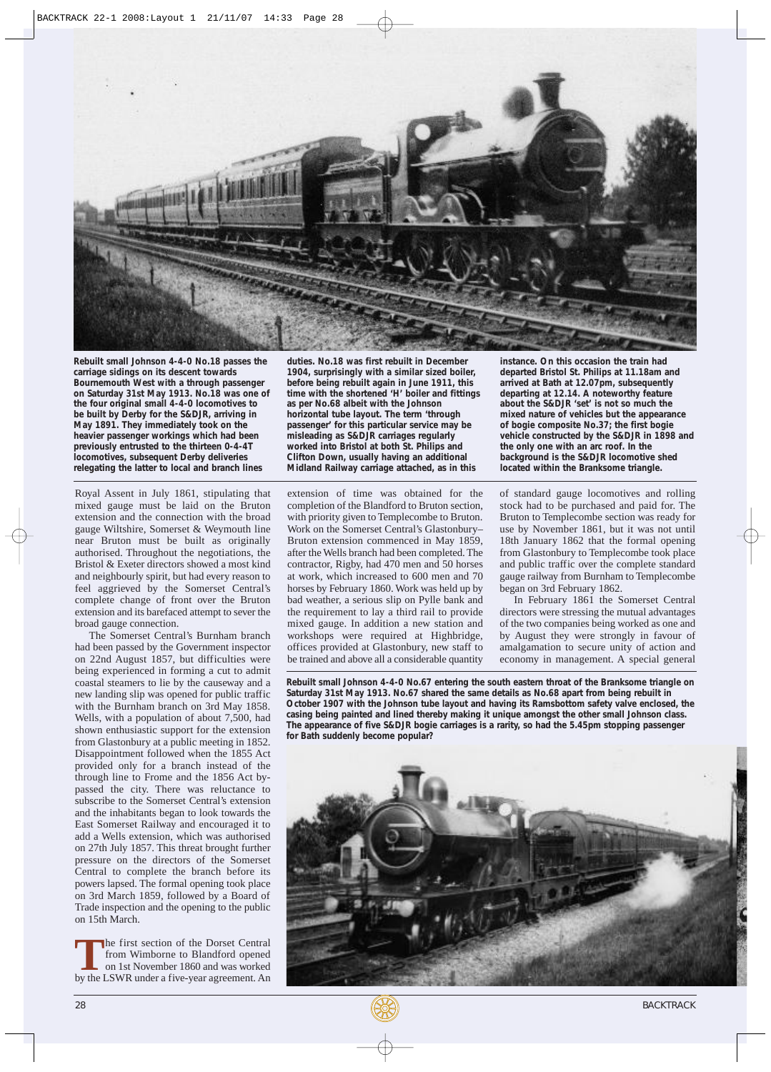

**Rebuilt small Johnson 4-4-0 No.18 passes the carriage sidings on its descent towards Bournemouth West with a through passenger on Saturday 31st May 1913. No.18 was one of the four original small 4-4-0 locomotives to be built by Derby for the S&DJR, arriving in May 1891. They immediately took on the heavier passenger workings which had been previously entrusted to the thirteen 0-4-4T locomotives, subsequent Derby deliveries relegating the latter to local and branch lines**

Royal Assent in July 1861, stipulating that mixed gauge must be laid on the Bruton extension and the connection with the broad gauge Wiltshire, Somerset & Weymouth line near Bruton must be built as originally authorised. Throughout the negotiations, the Bristol & Exeter directors showed a most kind and neighbourly spirit, but had every reason to feel aggrieved by the Somerset Central's complete change of front over the Bruton extension and its barefaced attempt to sever the broad gauge connection.

The Somerset Central's Burnham branch had been passed by the Government inspector on 22nd August 1857, but difficulties were being experienced in forming a cut to admit coastal steamers to lie by the causeway and a new landing slip was opened for public traffic with the Burnham branch on 3rd May 1858. Wells, with a population of about 7,500, had shown enthusiastic support for the extension from Glastonbury at a public meeting in 1852. Disappointment followed when the 1855 Act provided only for a branch instead of the through line to Frome and the 1856 Act bypassed the city. There was reluctance to subscribe to the Somerset Central's extension and the inhabitants began to look towards the East Somerset Railway and encouraged it to add a Wells extension, which was authorised on 27th July 1857. This threat brought further pressure on the directors of the Somerset Central to complete the branch before its powers lapsed. The formal opening took place on 3rd March 1859, followed by a Board of Trade inspection and the opening to the public on 15th March.

**The first section of the Dorset Central**<br>
from Wimborne to Blandford opened<br>
on 1st November 1860 and was worked<br>
by the LSWR under a five-vear agreement. An from Wimborne to Blandford opened by the LSWR under a five-year agreement. An **duties. No.18 was first rebuilt in December 1904, surprisingly with a similar sized boiler, before being rebuilt again in June 1911, this time with the shortened 'H' boiler and fittings as per No.68 albeit with the Johnson horizontal tube layout. The term 'through passenger' for this particular service may be misleading as S&DJR carriages regularly worked into Bristol at both St. Philips and Clifton Down, usually having an additional Midland Railway carriage attached, as in this**

extension of time was obtained for the completion of the Blandford to Bruton section, with priority given to Templecombe to Bruton. Work on the Somerset Central's Glastonbury– Bruton extension commenced in May 1859, after the Wells branch had been completed. The contractor, Rigby, had 470 men and 50 horses at work, which increased to 600 men and 70 horses by February 1860. Work was held up by bad weather, a serious slip on Pylle bank and the requirement to lay a third rail to provide mixed gauge. In addition a new station and workshops were required at Highbridge, offices provided at Glastonbury, new staff to be trained and above all a considerable quantity **instance. On this occasion the train had departed Bristol St. Philips at 11.18am and arrived at Bath at 12.07pm, subsequently departing at 12.14. A noteworthy feature about the S&DJR 'set' is not so much the mixed nature of vehicles but the appearance of bogie composite No.37; the first bogie vehicle constructed by the S&DJR in 1898 and the only one with an arc roof. In the background is the S&DJR locomotive shed located within the Branksome triangle.**

of standard gauge locomotives and rolling stock had to be purchased and paid for. The Bruton to Templecombe section was ready for use by November 1861, but it was not until 18th January 1862 that the formal opening from Glastonbury to Templecombe took place and public traffic over the complete standard gauge railway from Burnham to Templecombe began on 3rd February 1862.

In February 1861 the Somerset Central directors were stressing the mutual advantages of the two companies being worked as one and by August they were strongly in favour of amalgamation to secure unity of action and economy in management. A special general

**Rebuilt small Johnson 4-4-0 No.67 entering the south eastern throat of the Branksome triangle on Saturday 31st May 1913. No.67 shared the same details as No.68 apart from being rebuilt in October 1907 with the Johnson tube layout and having its Ramsbottom safety valve enclosed, the casing being painted and lined thereby making it unique amongst the other small Johnson class. The appearance of five S&DJR bogie carriages is a rarity, so had the 5.45pm stopping passenger for Bath suddenly become popular?** 



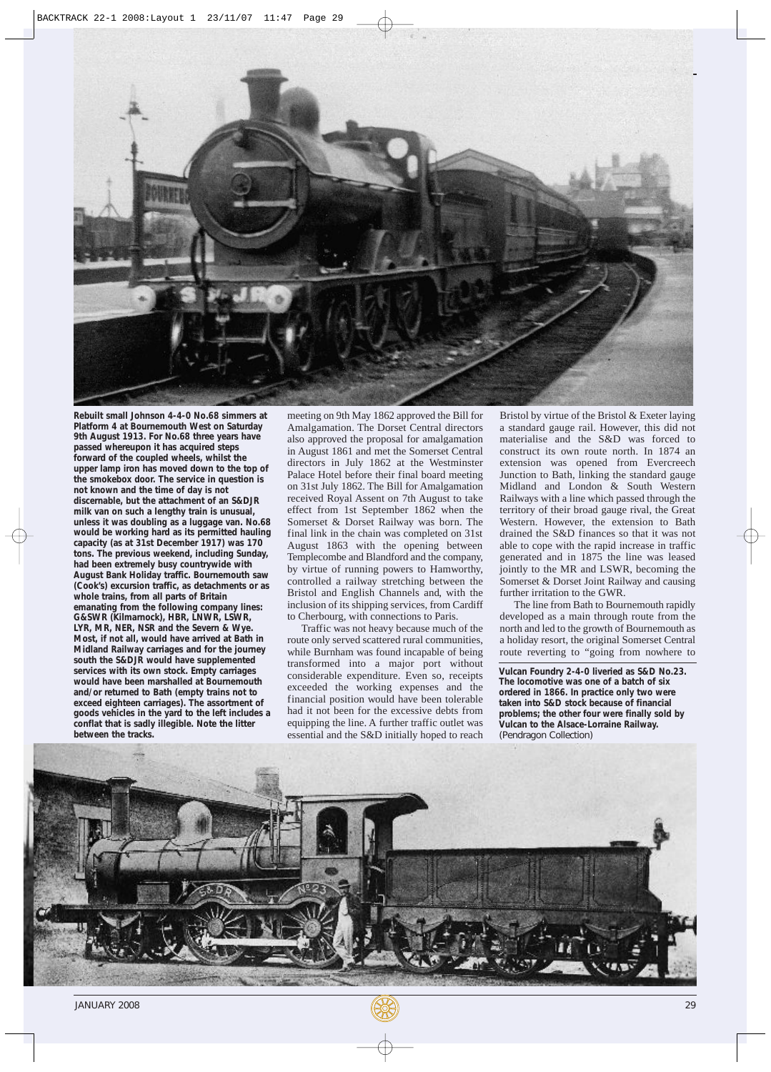

**Rebuilt small Johnson 4-4-0 No.68 simmers at Platform 4 at Bournemouth West on Saturday passed whereupon it has acquired steps forward of the coupled wheels, whilst the the smokebox door. The service in question is not known and the time of day is not discernable, but the attachment of an S&DJR milk van on such a lengthy train is unusual, unless it was doubling as a luggage van. No.68 would be working hard as its permitted hauling capacity (as at 31st December 1917) was 170 tons. The previous weekend, including Sunday, had been extremely busy countrywide with (Cook's) excursion traffic, as detachments or as whole trains, from all parts of Britain emanating from the following company lines: G&SWR (Kilmarnock), HBR, LNWR, LSWR, LYR, MR, NER, NSR and the Severn & Wye. Most, if not all, would have arrived at Bath in Midland Railway carriages and for the journey south the S&DJR would have supplemented services with its own stock. Empty carriages would have been marshalled at Bournemouth and/or returned to Bath (empty trains not to exceed eighteen carriages). The assortment of goods vehicles in the yard to the left includes a conflat that is sadly illegible. Note the litter between the tracks. 9th August 1913. For No.68 three years have upper lamp iron has moved down to the top of August Bank Holiday traffic. Bournemouth saw**

meeting on 9th May 1862 approved the Bill for Amalgamation. The Dorset Central directors also approved the proposal for amalgamation in August 1861 and met the Somerset Central directors in July 1862 at the Westminster Palace Hotel before their final board meeting on 31st July 1862. The Bill for Amalgamation received Royal Assent on 7th August to take effect from 1st September 1862 when the Somerset & Dorset Railway was born. The final link in the chain was completed on 31st August 1863 with the opening between Templecombe and Blandford and the company, by virtue of running powers to Hamworthy, controlled a railway stretching between the Bristol and English Channels and, with the inclusion of its shipping services, from Cardiff to Cherbourg, with connections to Paris.

Traffic was not heavy because much of the route only served scattered rural communities, while Burnham was found incapable of being transformed into a major port without considerable expenditure. Even so, receipts exceeded the working expenses and the financial position would have been tolerable had it not been for the excessive debts from equipping the line. A further traffic outlet was essential and the S&D initially hoped to reach Bristol by virtue of the Bristol & Exeter laying a standard gauge rail. However, this did not materialise and the S&D was forced to construct its own route north. In 1874 an extension was opened from Evercreech Junction to Bath, linking the standard gauge Midland and London & South Western Railways with a line which passed through the territory of their broad gauge rival, the Great Western. However, the extension to Bath drained the S&D finances so that it was not able to cope with the rapid increase in traffic generated and in 1875 the line was leased jointly to the MR and LSWR, becoming the Somerset & Dorset Joint Railway and causing further irritation to the GWR.

The line from Bath to Bournemouth rapidly developed as a main through route from the north and led to the growth of Bournemouth as a holiday resort, the original Somerset Central route reverting to "going from nowhere to

**Vulcan Foundry 2-4-0 liveried as S&D No.23. The locomotive was one of a batch of six ordered in 1866. In practice only two were taken into S&D stock because of financial problems; the other four were finally sold by Vulcan to the Alsace-Lorraine Railway.** (Pendragon Collection)